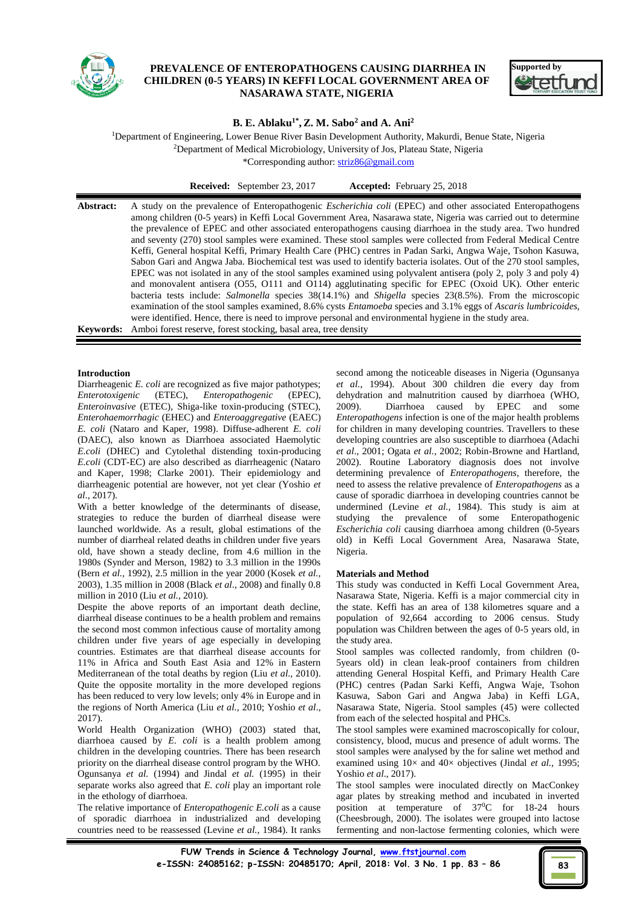

# **PREVALENCE OF ENTEROPATHOGENS CAUSING DIARRHEA IN CHILDREN (0-5 YEARS) IN KEFFI LOCAL GOVERNMENT AREA OF NASARAWA STATE, NIGERIA**



# **B. E. Ablaku1\* , Z. M. Sabo<sup>2</sup> and A. Ani<sup>2</sup>**

<sup>1</sup>Department of Engineering, Lower Benue River Basin Development Authority, Makurdi, Benue State, Nigeria <sup>2</sup>Department of Medical Microbiology, University of Jos, Plateau State, Nigeria

\*Corresponding author[: striz86@gmail.com](mailto:striz86@gmail.com)

# **Introduction**

Diarrheagenic *E. coli* are recognized as five major pathotypes; *Enterotoxigenic* (ETEC), *Enteropathogenic* (EPEC), *Enteroinvasive* (ETEC), Shiga-like toxin-producing (STEC), *Enterohaemorrhagic* (EHEC) and *Enteroaggregative* (EAEC) *E. coli* (Nataro and Kaper, 1998). Diffuse-adherent *E. coli* (DAEC), also known as Diarrhoea associated Haemolytic *E.coli* (DHEC) and Cytolethal distending toxin-producing *E.coli* (CDT-EC) are also described as diarrheagenic (Nataro and Kaper, 1998; Clarke 2001). Their epidemiology and diarrheagenic potential are however, not yet clear (Yoshio *et al*., 2017).

With a better knowledge of the determinants of disease, strategies to reduce the burden of diarrheal disease were launched worldwide. As a result, global estimations of the number of diarrheal related deaths in children under five years old, have shown a steady decline, from 4.6 million in the 1980s (Synder and Merson, 1982) to 3.3 million in the 1990s (Bern *et al.,* 1992), 2.5 million in the year 2000 (Kosek *et al.,* 2003), 1.35 million in 2008 (Black *et al*., 2008) and finally 0.8 million in 2010 (Liu *et al.,* 2010).

Despite the above reports of an important death decline, diarrheal disease continues to be a health problem and remains the second most common infectious cause of mortality among children under five years of age especially in developing countries. Estimates are that diarrheal disease accounts for 11% in Africa and South East Asia and 12% in Eastern Mediterranean of the total deaths by region (Liu *et al.,* 2010). Quite the opposite mortality in the more developed regions has been reduced to very low levels; only 4% in Europe and in the regions of North America (Liu *et al.,* 2010; Yoshio *et al*., 2017).

World Health Organization (WHO) (2003) stated that, diarrhoea caused by *E. coli* is a health problem among children in the developing countries. There has been research priority on the diarrheal disease control program by the WHO. Ogunsanya *et al.* (1994) and Jindal *et al.* (1995) in their separate works also agreed that *E. coli* play an important role in the ethology of diarrhoea.

The relative importance of *Enteropathogenic E.coli* as a cause of sporadic diarrhoea in industrialized and developing countries need to be reassessed (Levine *et al.,* 1984). It ranks second among the noticeable diseases in Nigeria (Ogunsanya *et al.*, 1994). About 300 children die every day from dehydration and malnutrition caused by diarrhoea (WHO, 2009). Diarrhoea caused by EPEC and some *Enteropathogens* infection is one of the major health problems for children in many developing countries. Travellers to these developing countries are also susceptible to diarrhoea (Adachi *et al*., 2001; Ogata *et al.*, 2002; Robin-Browne and Hartland, 2002). Routine Laboratory diagnosis does not involve determining prevalence of *Enteropathogens*, therefore, the need to assess the relative prevalence of *Enteropathogens* as a cause of sporadic diarrhoea in developing countries cannot be undermined (Levine *et al.,* 1984). This study is aim at studying the prevalence of some Enteropathogenic *Escherichia coli* causing diarrhoea among children (0-5years old) in Keffi Local Government Area, Nasarawa State, Nigeria.

# **Materials and Method**

This study was conducted in Keffi Local Government Area, Nasarawa State, Nigeria. Keffi is a major commercial city in the state. Keffi has an area of 138 kilometres square and a population of 92,664 according to 2006 census. Study population was Children between the ages of 0-5 years old, in the study area.

Stool samples was collected randomly, from children (0- 5years old) in clean leak-proof containers from children attending General Hospital Keffi, and Primary Health Care (PHC) centres (Padan Sarki Keffi, Angwa Waje, Tsohon Kasuwa, Sabon Gari and Angwa Jaba) in Keffi LGA, Nasarawa State, Nigeria. Stool samples (45) were collected from each of the selected hospital and PHCs.

The stool samples were examined macroscopically for colour, consistency, blood, mucus and presence of adult worms. The stool samples were analysed by the for saline wet method and examined using 10× and 40× objectives (Jindal *et al.,* 1995; Yoshio *et al*., 2017).

The stool samples were inoculated directly on MacConkey agar plates by streaking method and incubated in inverted position at temperature of 37<sup>0</sup>C for 18-24 hours (Cheesbrough, 2000). The isolates were grouped into lactose fermenting and non-lactose fermenting colonies, which were

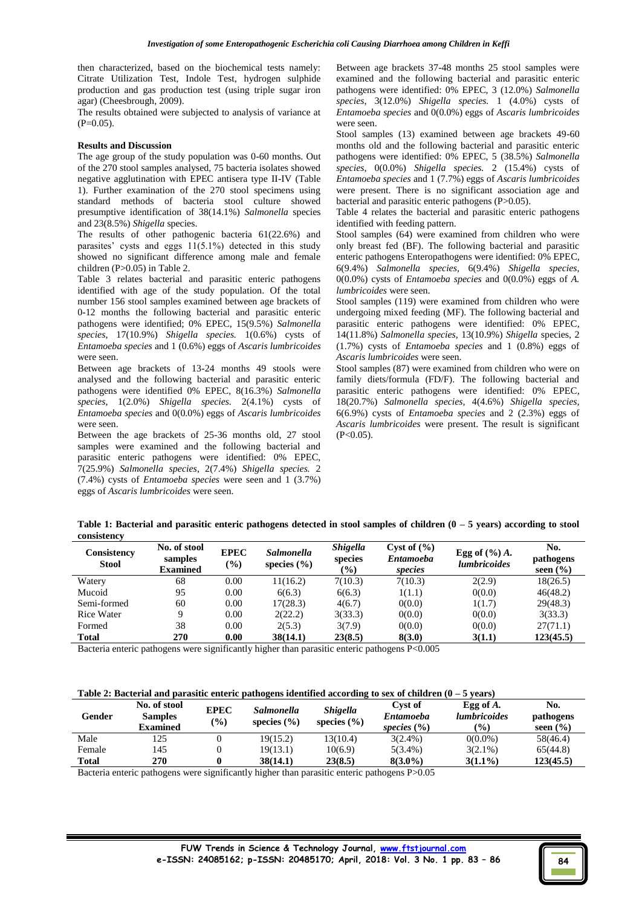then characterized, based on the biochemical tests namely: Citrate Utilization Test, Indole Test, hydrogen sulphide production and gas production test (using triple sugar iron agar) (Cheesbrough, 2009).

The results obtained were subjected to analysis of variance at  $(P=0.05)$ .

#### **Results and Discussion**

The age group of the study population was 0-60 months. Out of the 270 stool samples analysed, 75 bacteria isolates showed negative agglutination with EPEC antisera type II-IV (Table 1). Further examination of the 270 stool specimens using standard methods of bacteria stool culture showed presumptive identification of 38(14.1%) *Salmonella* species and 23(8.5%) *Shigella* species.

The results of other pathogenic bacteria 61(22.6%) and parasites' cysts and eggs 11(5.1%) detected in this study showed no significant difference among male and female children (P>0.05) in Table 2.

Table 3 relates bacterial and parasitic enteric pathogens identified with age of the study population. Of the total number 156 stool samples examined between age brackets of 0-12 months the following bacterial and parasitic enteric pathogens were identified; 0% EPEC, 15(9.5%) *Salmonella species*, 17(10.9%) *Shigella species.* 1(0.6%) cysts of *Entamoeba species* and 1 (0.6%) eggs of *Ascaris lumbricoides*  were seen.

Between age brackets of 13-24 months 49 stools were analysed and the following bacterial and parasitic enteric pathogens were identified 0% EPEC, 8(16.3%) *Salmonella species*, 1(2.0%) *Shigella species.* 2(4.1%) cysts of *Entamoeba species* and 0(0.0%) eggs of *Ascaris lumbricoides*  were seen.

Between the age brackets of 25-36 months old, 27 stool samples were examined and the following bacterial and parasitic enteric pathogens were identified: 0% EPEC, 7(25.9%) *Salmonella species*, 2(7.4%) *Shigella species.* 2 (7.4%) cysts of *Entamoeba species* were seen and 1 (3.7%) eggs of *Ascaris lumbricoides* were seen.

Between age brackets 37-48 months 25 stool samples were examined and the following bacterial and parasitic enteric pathogens were identified: 0% EPEC, 3 (12.0%) *Salmonella species*, 3(12.0%) *Shigella species.* 1 (4.0%) cysts of *Entamoeba species* and 0(0.0%) eggs of *Ascaris lumbricoides*  were seen.

Stool samples (13) examined between age brackets 49-60 months old and the following bacterial and parasitic enteric pathogens were identified: 0% EPEC, 5 (38.5%) *Salmonella species*, 0(0.0%) *Shigella species.* 2 (15.4%) cysts of *Entamoeba species* and 1 (7.7%) eggs of *Ascaris lumbricoides*  were present. There is no significant association age and bacterial and parasitic enteric pathogens (P>0.05).

Table 4 relates the bacterial and parasitic enteric pathogens identified with feeding pattern.

Stool samples (64) were examined from children who were only breast fed (BF). The following bacterial and parasitic enteric pathogens Enteropathogens were identified: 0% EPEC*,*  6(9.4%) *Salmonella species,* 6(9.4%) *Shigella species*, 0(0.0%) cysts of *Entamoeba species* and 0(0.0%) eggs of *A. lumbricoides* were seen.

Stool samples (119) were examined from children who were undergoing mixed feeding (MF). The following bacterial and parasitic enteric pathogens were identified: 0% EPEC*,*  14(11.8%) *Salmonella species,* 13(10.9%) *Shigella* species, 2 (1.7%) cysts of *Entamoeba species* and 1 (0.8%) eggs of *Ascaris lumbricoides* were seen.

Stool samples (87) were examined from children who were on family diets/formula (FD/F). The following bacterial and parasitic enteric pathogens were identified: 0% EPEC*,*  18(20.7%) *Salmonella species,* 4(4.6%) *Shigella species,*  6(6.9%) cysts of *Entamoeba species* and 2 (2.3%) eggs of *Ascaris lumbricoides* were present. The result is significant  $(P<0.05)$ .

**Table 1: Bacterial and parasitic enteric pathogens detected in stool samples of children (0 – 5 years) according to stool consistency**

| Consistency<br><b>Stool</b> | No. of stool<br>samples<br><b>Examined</b> | <b>EPEC</b><br>$(\%)$ | <b>Salmonella</b><br>species $(\% )$ | <b>Shigella</b><br>species<br>$\frac{1}{2}$ | Cyst of $(\% )$<br><b>Entamoeba</b><br>species | Egg of $(\%)$ A.<br><i>lumbricoides</i> | No.<br>pathogens<br>seen $(\frac{6}{6})$ |
|-----------------------------|--------------------------------------------|-----------------------|--------------------------------------|---------------------------------------------|------------------------------------------------|-----------------------------------------|------------------------------------------|
| Watery                      | 68                                         | 0.00                  | 11(16.2)                             | 7(10.3)                                     | 7(10.3)                                        | 2(2.9)                                  | 18(26.5)                                 |
| Mucoid                      | 95                                         | 0.00                  | 6(6.3)                               | 6(6.3)                                      | 1(1.1)                                         | 0(0.0)                                  | 46(48.2)                                 |
| Semi-formed                 | 60                                         | 0.00                  | 17(28.3)                             | 4(6.7)                                      | 0(0.0)                                         | 1(1.7)                                  | 29(48.3)                                 |
| <b>Rice Water</b>           | Q                                          | 0.00                  | 2(22.2)                              | 3(33.3)                                     | 0(0.0)                                         | 0(0.0)                                  | 3(33.3)                                  |
| Formed                      | 38                                         | 0.00                  | 2(5.3)                               | 3(7.9)                                      | 0(0.0)                                         | 0(0.0)                                  | 27(71.1)                                 |
| <b>Total</b>                | 270                                        | 0.00                  | 38(14.1)                             | 23(8.5)                                     | 8(3.0)                                         | 3(1.1)                                  | 123(45.5)                                |

Bacteria enteric pathogens were significantly higher than parasitic enteric pathogens P<0.005

# **Table 2: Bacterial and parasitic enteric pathogens identified according to sex of children (0 – 5 years)**

| Gender | No. of stool<br><b>Samples</b><br>Examined | <b>EPEC</b><br>$(\%)$ | Salmonella<br>species $(\% )$ | <b>Shigella</b><br>species $(\% )$ | Cyst of<br>Entamoeba<br>species $(\% )$ | Egg of $A$ .<br><i>lumbricoides</i><br>$\binom{0}{0}$ | No.<br>pathogens<br>seen $(\% )$ |
|--------|--------------------------------------------|-----------------------|-------------------------------|------------------------------------|-----------------------------------------|-------------------------------------------------------|----------------------------------|
| Male   | 125                                        |                       | 19(15.2)                      | 13(10.4)                           | $3(2.4\%)$                              | $0(0.0\%)$                                            | 58(46.4)                         |
| Female | 145                                        |                       | 19(13.1)                      | 10(6.9)                            | $5(3.4\%)$                              | $3(2.1\%)$                                            | 65(44.8)                         |
| Total  | 270                                        |                       | 38(14.1)                      | 23(8.5)                            | $8(3.0\%)$                              | $3(1.1\%)$                                            | 123(45.5)                        |

Bacteria enteric pathogens were significantly higher than parasitic enteric pathogens P>0.05

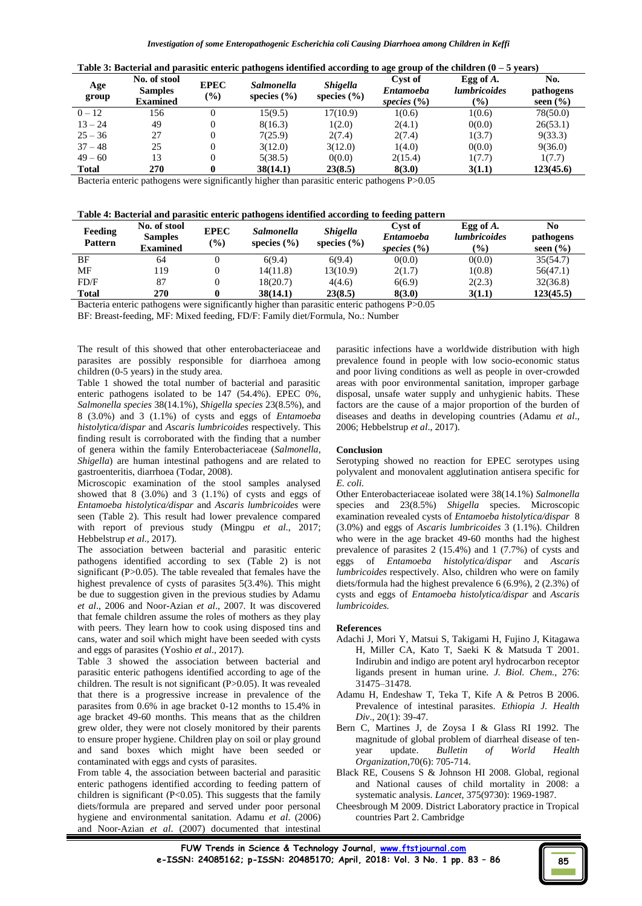| Table 3: Bacterial and parasitic enteric pathogens identified according to age group of the children $(0 - 5$ years) |  |  |  |  |  |
|----------------------------------------------------------------------------------------------------------------------|--|--|--|--|--|
|----------------------------------------------------------------------------------------------------------------------|--|--|--|--|--|

| Age<br>group | No. of stool<br><b>Samples</b><br><b>Examined</b> | <b>EPEC</b><br>$\frac{6}{6}$ | <i>Salmonella</i><br>species $(\% )$ | <b>Shigella</b><br>species $(\% )$ | Cyst of<br><b>Entamoeba</b><br>species $(\% )$ | Egg of $A$ .<br><i>lumbricoides</i><br>$\frac{6}{2}$ | No.<br>pathogens<br>seen $(\% )$ |
|--------------|---------------------------------------------------|------------------------------|--------------------------------------|------------------------------------|------------------------------------------------|------------------------------------------------------|----------------------------------|
| $0 - 12$     | 156                                               | $\Omega$                     | 15(9.5)                              | 17(10.9)                           | 1(0.6)                                         | 1(0.6)                                               | 78(50.0)                         |
| $13 - 24$    | 49                                                | 0                            | 8(16.3)                              | 1(2.0)                             | 2(4.1)                                         | 0(0.0)                                               | 26(53.1)                         |
| $25 - 36$    | 27                                                | 0                            | 7(25.9)                              | 2(7.4)                             | 2(7.4)                                         | 1(3.7)                                               | 9(33.3)                          |
| $37 - 48$    | 25                                                | 0                            | 3(12.0)                              | 3(12.0)                            | 1(4.0)                                         | 0(0.0)                                               | 9(36.0)                          |
| $49 - 60$    | 13                                                | $\Omega$                     | 5(38.5)                              | 0(0.0)                             | 2(15.4)                                        | 1(7.7)                                               | 1(7.7)                           |
| <b>Total</b> | 270                                               | $\bf{0}$                     | 38(14.1)                             | 23(8.5)                            | 8(3.0)                                         | 3(1.1)                                               | 123(45.6)                        |

Bacteria enteric pathogens were significantly higher than parasitic enteric pathogens P>0.05

| Feeding<br><b>Pattern</b> | No. of stool<br><b>Samples</b><br><b>Examined</b> | <b>EPEC</b><br>$\left( \frac{0}{0} \right)$ | <i>Salmonella</i><br>species $(\% )$ | <b>Shigella</b><br>species $(\% )$ | Cyst of<br><b>Entamoeba</b><br>species $(\% )$ | Egg of $A$ .<br><i>lumbricoides</i><br>$(\%)$ | No<br>pathogens<br>seen $(\% )$ |
|---------------------------|---------------------------------------------------|---------------------------------------------|--------------------------------------|------------------------------------|------------------------------------------------|-----------------------------------------------|---------------------------------|
| BF                        | 64                                                |                                             | 6(9.4)                               | 6(9.4)                             | 0(0.0)                                         | 0(0.0)                                        | 35(54.7)                        |
| MF                        | 119                                               |                                             | 14(11.8)                             | 13(10.9)                           | 2(1.7)                                         | 1(0.8)                                        | 56(47.1)                        |
| FD/F                      | 87                                                |                                             | 18(20.7)                             | 4(4.6)                             | 6(6.9)                                         | 2(2.3)                                        | 32(36.8)                        |
| <b>Total</b>              | 270                                               |                                             | 38(14.1)                             | 23(8.5)                            | 8(3.0)                                         | 3(1.1)                                        | 123(45.5)                       |

Bacteria enteric pathogens were significantly higher than parasitic enteric pathogens P>0.05

BF: Breast-feeding, MF: Mixed feeding, FD/F: Family diet/Formula, No.: Number

The result of this showed that other enterobacteriaceae and parasites are possibly responsible for diarrhoea among children (0-5 years) in the study area.

Table 1 showed the total number of bacterial and parasitic enteric pathogens isolated to be 147 (54.4%). EPEC 0%, *Salmonella species* 38(14.1%), *Shigella species* 23(8.5%), and 8 (3.0%) and 3 (1.1%) of cysts and eggs of *Entamoeba histolytica/dispar* and *Ascaris lumbricoides* respectively*.* This finding result is corroborated with the finding that a number of genera within the family Enterobacteriaceae (*Salmonella, Shigella*) are human intestinal pathogens and are related to gastroenteritis, diarrhoea (Todar, 2008).

Microscopic examination of the stool samples analysed showed that  $8$   $(3.0\%)$  and  $3$   $(1.1\%)$  of cysts and eggs of *Entamoeba histolytica/dispar* and *Ascaris lumbricoides* were seen (Table 2). This result had lower prevalence compared with report of previous study (Mingpu *et al*., 2017; Hebbelstrup *et al*., 2017).

The association between bacterial and parasitic enteric pathogens identified according to sex (Table 2) is not significant (P>0.05). The table revealed that females have the highest prevalence of cysts of parasites 5(3.4%). This might be due to suggestion given in the previous studies by Adamu *et al*., 2006 and Noor-Azian *et al*., 2007. It was discovered that female children assume the roles of mothers as they play with peers. They learn how to cook using disposed tins and cans, water and soil which might have been seeded with cysts and eggs of parasites (Yoshio *et al*., 2017).

Table 3 showed the association between bacterial and parasitic enteric pathogens identified according to age of the children. The result is not significant (P>0.05). It was revealed that there is a progressive increase in prevalence of the parasites from 0.6% in age bracket 0-12 months to 15.4% in age bracket 49-60 months. This means that as the children grew older, they were not closely monitored by their parents to ensure proper hygiene. Children play on soil or play ground and sand boxes which might have been seeded or contaminated with eggs and cysts of parasites.

From table 4, the association between bacterial and parasitic enteric pathogens identified according to feeding pattern of children is significant  $(P<0.05)$ . This suggests that the family diets/formula are prepared and served under poor personal hygiene and environmental sanitation. Adamu *et al*. (2006) and Noor-Azian *et al*. (2007) documented that intestinal parasitic infections have a worldwide distribution with high prevalence found in people with low socio-economic status and poor living conditions as well as people in over-crowded areas with poor environmental sanitation, improper garbage disposal, unsafe water supply and unhygienic habits. These factors are the cause of a major proportion of the burden of diseases and deaths in developing countries (Adamu *et al*., 2006; Hebbelstrup *et al*., 2017).

#### **Conclusion**

Serotyping showed no reaction for EPEC serotypes using polyvalent and monovalent agglutination antisera specific for *E. coli.*

Other Enterobacteriaceae isolated were 38(14.1%) *Salmonella*  species and 23(8.5%) *Shigella* species. Microscopic examination revealed cysts of *Entamoeba histolytica/dispar* 8 (3.0%) and eggs of *Ascaris lumbricoides* 3 (1.1%). Children who were in the age bracket 49-60 months had the highest prevalence of parasites 2 (15.4%) and 1 (7.7%) of cysts and eggs of *Entamoeba histolytica/dispar* and *Ascaris lumbricoides* respectively. Also, children who were on family diets/formula had the highest prevalence 6 (6.9%), 2 (2.3%) of cysts and eggs of *Entamoeba histolytica/dispar* and *Ascaris lumbricoides.*

# **References**

- Adachi J, Mori Y, Matsui S, Takigami H, Fujino J, Kitagawa H, Miller CA, Kato T, Saeki K & Matsuda T 2001. Indirubin and indigo are potent aryl hydrocarbon receptor ligands present in human urine. *J. Biol. Chem.,* 276: 31475–31478.
- Adamu H, Endeshaw T, Teka T, Kife A & Petros B 2006. Prevalence of intestinal parasites. *Ethiopia J. Health Div*., 20(1): 39-47.
- Bern C, Martines J, de Zoysa I & Glass RI 1992. The magnitude of global problem of diarrheal disease of tenyear update. *Bulletin of World Health Organization,*70(6): 705-714.
- Black RE, Cousens S & Johnson HI 2008. Global, regional and National causes of child mortality in 2008: a systematic analysis. *Lancet,* 375(9730): 1969-1987.
- Cheesbrough M 2009. District Laboratory practice in Tropical countries Part 2. Cambridge